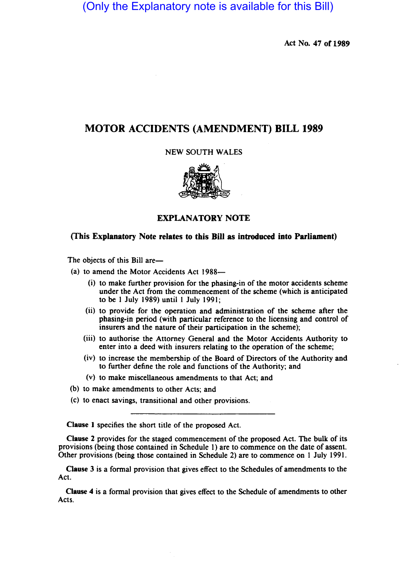(Only the Explanatory note is available for this Bill)

Act No. 47 of 1989

# MOTOR ACCIDENTS (AMENDMENT) BILL 1989

NEW SOUTH WALES



# EXPLANATORY NOTE

# (This Explanatory Note relates to this Bill as introduced into Parliament)

The objects of this Bill are-

(a) to amend the Motor Accidents Act 1988-

- (i) to make further provision for the phasing-in of the motor accidents scheme under the Act from the commencement of the scheme (which is anticipated to be I July 1989) until 1 July 1991;
- (ii) to provide for the operation and administration of the scheme after the phasing-in period (with particular reference to the licensing and control of insurers and the nature of their participation in the scheme);
- (iii) to authorise the Attorney General and the Motor Accidents Authority to enter into a deed with insurers relating to the operation of the scheme;
- (iv) to increase the membership of the Board of Directors of the Authority and to further define the role and functions of the Authority; and
- (v) to make miscellaneous amendments to that Act; and
- (b) to make amendments to other Acts; and
- (c) to enact savings, transitional and other provisions.

Clause 1 specifies the short title of the proposed Act.

Clause 2 provides for the staged commencement of the proposed Act. The bulk of its provisions (being those contained in Schedule I) are to commence on the date of assent. Other provisions (being those contained in Schedule 2) are to commence on I July 1991.

Clause 3 is a formal provision that gives effect to the Schedules of amendments to the Act.

Clause 4 is a formal provision that gives effect to the Schedule of amendments to other Acts.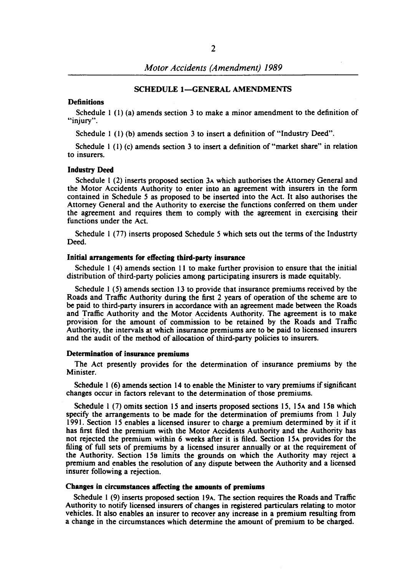## SCHEDULE 1-GENERAL AMENDMENTS

## **Definitions**

Schedule  $1(1)(a)$  amends section 3 to make a minor amendment to the definition of "injury".

Schedule I (I) (b) amends section 3 to insert a definition of "Industry Deed".

Schedule  $1 (1) (c)$  amends section 3 to insert a definition of "market share" in relation to insurers.

#### Industry Deed

Schedule I (2) inserts proposed section 3A which authorises the Attorney General and the Motor Accidents Authority to enter into an agreement with insurers in the form contained in Schedule 5 as proposed to be inserted into the Act. It also authorises the Attorney General and the Authority to exercise the functions conferred on them under the agreement and requires them to comply with the agreement in exercising their functions under the Act.

Schedule I (77) inserts proposed Schedule 5 which sets out the terms of the Industrty Deed.

#### Initial arrangements for effecting third-party insurance

Schedule I (4) amends section II to make further provision to ensure that the initial distribution of third-party policies among participating insurers is made equitably.

Schedule I (5) amends section 13 to provide that insurance premiums received by the Roads and Traffic Authority during the first 2 years of operation of the scheme are to be paid to third-party insurers in accordance with an agreement made between the Roads and Traffic Authority and the Motor Accidents Authority. The agreement is to make provision for the amount of commission to be retained by the Roads and Traffic Authority, the intervals at which insurance premiums are to be paid to licensed insurers and the audit of the method of allocation of third-party policies to insurers.

#### Determination of insurance premiums

The Act presently provides for the determination of insurance premiums by the Minister.

Schedule I (6) amends section 14 to enable the Minister to vary premiums if significant changes occur in factors relevant to the determination of those premiums.

Schedule  $1(7)$  omits section 15 and inserts proposed sections 15, 15A and 15B which specify the arrangements to be made for the determination of premiums from I July 1991. Section IS enables a licensed insurer to charge a premium determined by it if it has first filed the premium with the Motor Accidents Authority and the Authority has not rejected the premium within 6 weeks after it is filed. Section l5A provides for the filing of full sets of premiums by a licensed insurer annually or at the requirement of the Authority. Section ISo limits the grounds on which the Authority may reject a premium and enables the resolution of any dispute between the Authority and a licensed insurer following a rejection.

## Changes in circumstances affecting the amounts of premiums

Schedule I (9) inserts proposed section 19A. The section requires the Roads and Traffic Authority to notify licensed insurers of changes in registered particulars relating to motor vehicles. It also enables an insurer to recover any increase in a premium resulting from a change in the circumstances which determine the amount of premium to be charged.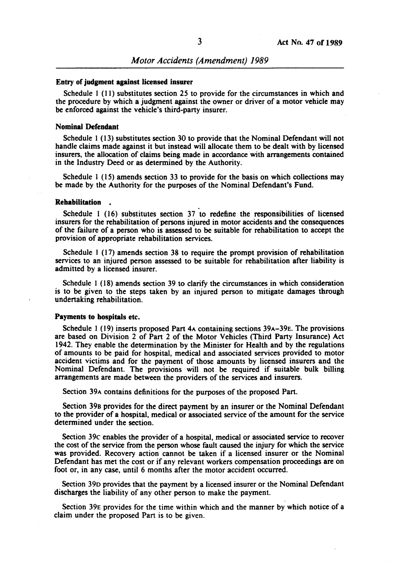#### Entry of judgment against licensed insurer

Schedule I (11) substitutes section 25 to provide for the circumstances in which and the procedure by which a judgment against the owner or driver of a motor vehicle may be enforced against the vehicle's third-party insurer.

#### Nominal Defendant

Schedule I (13) substitutes section 30 to provide that the Nominal Defendant will not handle claims made against it but instead will allocate them to be dealt with by licensed insurers, the allocation of claims being made in accordance with arrangements contained in the Industry Deed or as determined by the Authority.

Schedule I (15) amends section 33 to provide for the basis on which collections may be made by the Authority for the purposes of the Nominal Defendant's Fund.

## Rehabilitation .

Schedule I (16) substitutes section 37 to redefine the responsibilities of licensed insurers for the rehabilitation of persons injured in motor accidents and the consequences of the failure of a person who is assessed to be suitable for rehabilitation to accept the provision of appropriate rehabilitation services.

Schedule I (17) amends section 38 to require the prompt provision of rehabilitation services to an injured person assessed to be suitable for rehabilitation after liability is admitted by a licensed insurer.

Schedule I (18) amends section 39 to clarify the circumstances in which consideration is to be given to the steps taken by an injured person to mitigate damages through undertaking rehabilitation.

#### Payments to hospitals etc.

Schedule 1 (19) inserts proposed Part 4A containing sections 39A-39E. The provisions are based on Division 2 of Part 2 of the Motor Vehicles (Third Party Insurance) Act 1942. They enable the determination by the Minister for Health and by the regulations of amounts to be paid for hospital, medical and associated services provided to motor accident victims and for the payment of those amounts by licensed insurers and the Nominal Defendant. The provisions will not be required if suitable bulk billing arrangements are made between the providers of the services and insurers.

Section 39A contains definitions for the purposes of the proposed Part.

Section 398 provides for the direct payment by an insurer or the Nominal Defendant to the provider of a hospital, medical or associated service of the amount for the service determined under the section.

Section 39c enables the provider of a hospital, medical or associated service to recover the cost of the service from the person whose fault caused the injury for which the service was provided. Recovery action cannot be taken if a licensed insurer or the Nominal Defendant has met the cost or if any relevant workers compensation proceedings are on foot or, in any case, until 6 months after the motor accident occurred.

Section 390 provides that the payment by a licensed insurer or the Nominal Defendant discharges the liability of any other person to make the payment.

Section 39E provides for the time within which and the manner by which notice of a claim under the proposed Part is to be given.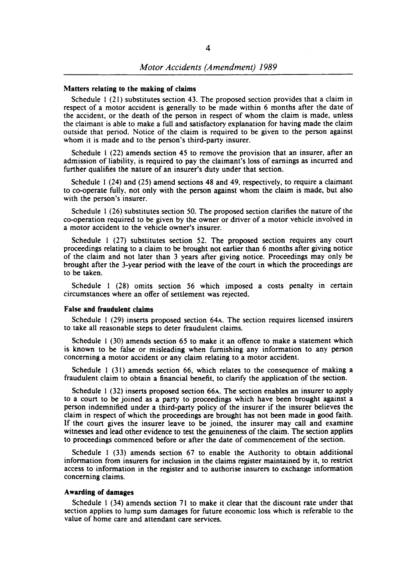## Matters relating to the making of claims

Schedule I (21) substitutes section 43. The proposed section provides that a claim in respect of a motor accident is generally to be made within 6 months after the date of the accident, or the death of the person in respect of whom the claim is made, unless the claimant is able to make a full and satisfactory explanation for having made the claim outside that period. Notice of the claim is required to be given to the person against whom it is made and to the person's third-party insurer.

Schedule I (22) amends section 45 to remove the provision that an insurer, after an admission of liability, is required to pay the claimant's loss of earnings as incurred and further qualifies the nature of an insurer's duty under that section.

Schedule I (24) and (25) amend sections 48 and 49, respectively, to require a claimant to co-operate fully, not only with the person against whom the claim is made, but also with the person's insurer.

Schedule I (26) substitutes section 50. The proposed section clarifies the nature of the co-operation required to be given by the owner or driver of a motor vehicle involved in a motor accident to the vehicle owner's insurer.

Schedule I (27) substitutes section 52. The proposed section requires any court proceedings relating to a claim to be brought not earlier than 6 months after giving notice of the claim and not later than 3 years after giving notice. Proceedings may only be brought after the 3-year period with the leave of the court in which the proceedings are to be taken.

Schedule I (28) omits section 56 which imposed a costs penalty in certain circumstances where an offer of settlement was rejected.

#### False and fraudulent claims

Schedule I (29) inserts proposed section 64A. The section requires licensed insurers to take all reasonable steps to deter fraudulent claims.

Schedule I (30) amends section 65 to make it an offence to make a statement which is known to be false or misleading when furnishing any information to any person concerning a motor accident or any claim relating to a motor accident.

Schedule I (31) amends section 66, which relates to the consequence of making a fraudulent claim to obtain a financial benefit, to clarify the application of the section.

Schedule I (32) inserts proposed section 66A. The section enables an insurer to apply to a court to be joined as a party to proceedings which have been brought against a person indemnified under a third-party policy of the insurer if the insurer believes the claim in respect of which the proceedings are brought has not been made in good faith. If the court gives the insurer leave to be joined, the insurer may call and examine witnesses and lead other evidence to test the genuineness of the claim. The section applies to proceedings commenced before or after the date of commencement of the section.

Schedule I (33) amends section 67 to enable the Authority to obtain additional information from insurers for inclusion in the claims register maintained by it, to restrict access to information in the register and to authorise insurers to exchange information concerning claims.

## Awarding of damages

Schedule I (34) amends section 71 to make it clear that the discount rate under that section applies to lump sum damages for future economic loss which is referable to the value of home care and attendant care services.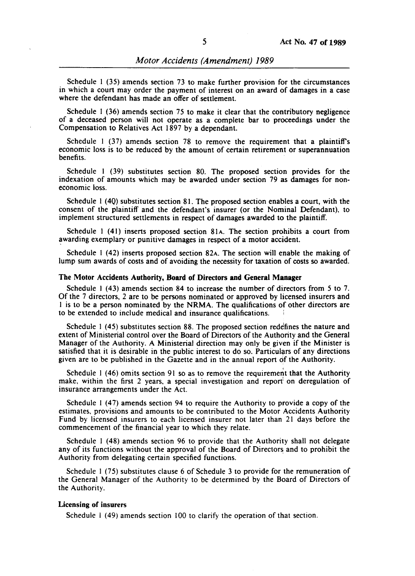Schedule 1 (35) amends section 73 to make further provision for the circumstances in which a court may order the payment of interest on an award of damages in a case where the defendant has made an offer of settlement.

Schedule I (36) amends section 75 to make it clear that the contributory negligence of a deceased person will not operate as a complete bar to proceedings under the Compensation to Relatives Act 1897 by a dependant.

Schedule 1 (37) amends section 78 to remove the requirement that a plaintiff's economic loss is to be reduced by the amount of certain retirement or superannuation benefits.

Schedule I (39) substitutes section 80. The proposed section provides for the indexation of amounts which may be awarded under section 79 as damages for noneconomic loss.

Schedule I (4Q) substitutes section 81. The proposed section enables a court, with the consent of the plaintiff and the defendant's insurer (or the Nominal Defendant), to implement structured settlements in respect of damages awarded to the plaintiff.

Schedule 1 (41) inserts proposed section 81 $A$ . The section prohibits a court from awarding exemplary or punitive damages in respect of a motor accident.

Schedule I (42) inserts proposed section 82A. The section will enable the making of lump sum awards of costs and of avoiding the necessity for taxation of costs so awarded.

#### The Motor Accidents Authority, Board of Directors and General Manager

Schedule I (43) amends section 84 to increase the number of directors from 5 to 7. Of the 7 directors, 2 are to be persons nominated or approved by licensed insurers and I is to be a person nominated by the NRMA. The qualifications of other directors are to be extended to include medical and insurance qualifications.

Schedule I (45) substitutes section 88. The proposed section redefines the nature and extent of Ministerial control over the Board of Directors of the Authority and the General Manager of the Authority. A Ministerial direction may only be given if the Minister is satisfied that it is desirable in the public interest to do so. Particulars of any directions given are to be published in the Gazette and in the annual report of the Authority.

Schedule  $1$  (46) omits section 91 so as to remove the requirement that the Authority make, within the first 2 years, a special investigation and report on deregulation of insurance arrangements under the Act.

Schedule I (47) amends section 94 to require the Authority to provide a copy of the estimates, provisions and amounts to be contributed to the Motor Accidents Authority Fund by licensed insurers to each licensed insurer not later than 21 days before the commencement of the financial year to which they relate.

Schedule I (48) amends section 96 to provide that the Authority shall not delegate any of its functions without the approval of the Board of Directors and to prohibit the Authority from delegating certain specified functions.

Schedule I (75) substitutes clause 6 of Schedule 3 to provide for the remuneration of the General Manager of the Authority to be determined by the Board of Directors of the Authority.

#### Licensing of insurers

Schedule I (49) amends section 100 to clarify the operation of that section.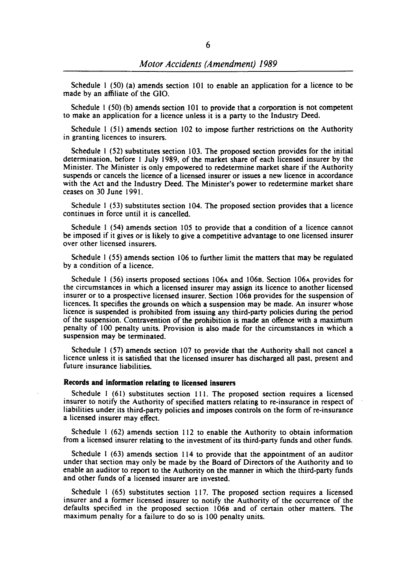Schedule 1 (50) (a) amends section 101 to enable an application for a licence to be made by an affiliate of the GIO.

Schedule I (50) (b) amends section 101 to provide that a corporation is not competent to make an application for a licence unless it is a party to the Industry Deed.

Schedule I (51) amends section 102 to impose further restrictions on the Authority in granting licences to insurers.

Schedule I (52) substitutes section 103. The proposed section provides for the initial determination, before I July 1989, of the market share of each licensed insurer by the Minister. The Minister is only empowered to redetermine market share if the Authority suspends or cancels the licence of a licensed insurer or issues a new licence in accordance with the Act and the Industry Deed. The Minister's power to redetermine market share ceases on 30 June 1991.

Schedule I (53) substitutes section 104. The proposed section provides that a licence continues in force until it is cancelled.

Schedule I (54) amends section 105 to provide that a condition of a licence cannot be imposed if it gives or is likely to give a competitive advantage to one licensed insurer over other licensed insurers.

Schedule I (55) amends section 106 to further limit the matters that may be regulated by a condition of a licence.

Schedule I (56) inserts proposed sections 106A and 1068. Section 106A provides for the circumstances in which a licensed insurer may assign its licence to another licensed insurer or to a prospective licensed insurer. Section 1068 provides for the suspension of licences. It specifies the grounds on which a suspension may be made. An insurer whose licence is suspended is prohibited from issuing any third-party policies during the period of the suspension. Contravention of the prohibition is made an offence with a maximum penalty of 100 penalty units. Provision is also made for the circumstances in which a suspension may be terminated.

Schedule I (57) amends section 107 to provide that the Authority shall not cancel a licence unless it is satisfied that the licensed insurer has discharged all past, present and future insurance liabilities.

## Records and information relating to licensed insurers

Schedule I (61) substitutes section 111. The proposed section requires a licensed insurer to notify the Authority of specified matters relating to re-insurance in respect of liabilities under. its third-party policies and imposes controls on the form of re-insurance a licensed insurer may effect.

Schedule I (62) amends section 112 to enable the Authority to obtain information from a licensed insurer relating to the investment of its third-party funds and other funds.

Schedule I (63) amends section 114 to provide that the appointment of an auditor under that section may only be made by the Board of Directors of the Authority and to enable an auditor to report to the Authority on the manner in which the third-party funds and other funds of a licensed insurer are invested.

Schedule I (65) substitutes section 117. The proposed section requires a licensed insurer and a former licensed insurer to notify the Authority of the occurrence of the defaults specified in the proposed section 1068 and of certain other matters. The maximum penalty for a failure to do so is 100 penalty units.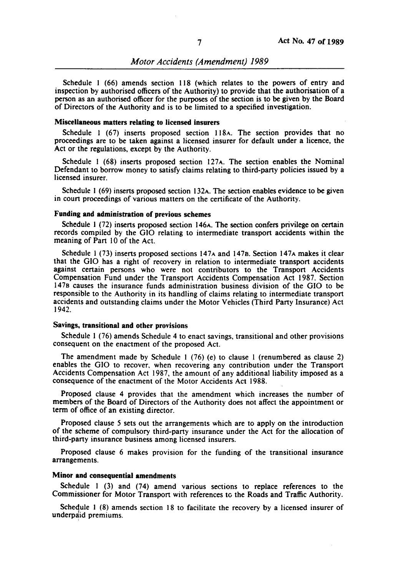Schedule I (66) amends section 118 (which relates to the powers of entry and inspection by authorised officers of the Authority) to provide that the authorisation of a person as an authorised officer for the purposes of the section is to be given by the Board of Directors of the Authority and is to be limited to a specified investigation.

### Miscellaneous matters relating to licensed insurers

Schedule I (67) inserts proposed section 118A. The section provides that no proceedings are to be taken against a licensed insurer for default under a licence. the Act or the regulations. except by the Authority.

Schedule I (68) inserts proposed section 127A. The section enables the Nominal Defendant to borrow money to satisfy claims relating to third-party policies issued by a licensed insurer.

Schedule I (69) inserts proposed section 132A. The section enables evidence to be given in court proceedings of various matters on the certificate of the Authority.

## Funding and administration of previous schemes

Schedule I (72) inserts proposed section 146A. The section confers privilege on certain records compiled by the GIO relating to intermediate transport accidents within the meaning of Part 10 of the Act.

Schedule I (73) inserts proposed sections 147A and 1478. Section 147A makes it clear that the GIO has a right of recovery in relation to intermediate transport accidents against certain persons who were not contributors to the Transport Accidents Compensation Fund under the Transport Accidents Compensation Act 1987. Section 1478 causes the insurance funds administration business division of the GIO to be responsible to the Authority in its handling of claims relating to intermediate transport accidents and outstanding claims under the Motor Vehicles (Third Party Insurance) Act 1942.

## Savings, transitional and other provisions

Schedule 1 (76) amends Schedule 4 to enact savings, transitional and other provisions consequent on the enactment of the proposed Act.

The amendment made by Schedule I (76) (e) to clause I (renumbered as clause 2) enables the GIO to recover, when recovering any contribution under the Transport Accidents Compensation Act 1987, the amount of any additional liability imposed as a consequence of the enactment of the Motor Accidents Act 1988.

Proposed clause 4 provides that the amendment which increases the number of members of the Board of Directors of the Authority does not affect the appointment or term of office of an existing director.

Proposed clause 5 sets out the arrangements which are to apply on the introduction of the scheme of compulsory third-party insurance under the Act for the allocation of third-party insurance business among licensed insurers.

Proposed clause 6 makes provision for the funding of the transitional insurance arrangements.

# Minor and consequential amendments

Schedule I (3) and (74) amend various sections to replace references to the Commissioner for Motor Transport with references to the Roads and Traffic Authority.

Schedule 1  $(8)$  amends section 18 to facilitate the recovery by a licensed insurer of underpaid premiums.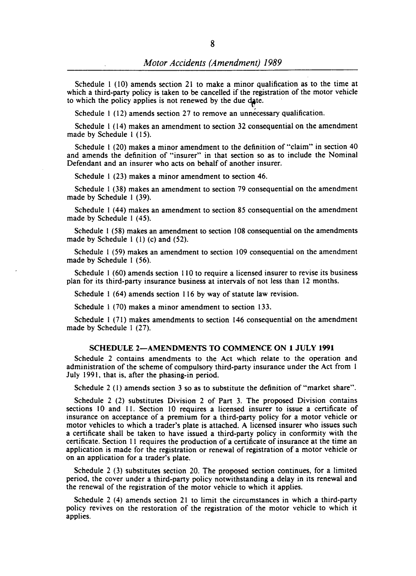Schedule I (10) amends section 21 to make a minor qualification as to the time at which a third-party policy is taken to be cancelled if the registration of the motor vehicle to which the policy applies is not renewed by the due date.

Schedule 1 (12) amends section 27 to remove an unnecessary qualification.

Schedule I (14) makes an amendment to section 32 consequential on the amendment made by Schedule I (15).

Schedule 1 (20) makes a minor amendment to the definition of "claim" in section 40 and amends the definition of "insurer" in that section so as to include the Nominal Defendant and an insurer who acts on behalf of another insurer.

Schedule I (23) makes a minor amendment to section 46.

Schedule 1 (38) makes an amendment to section 79 consequential on the amendment made by Schedule I (39).

Schedule 1 (44) makes an amendment to section 85 consequential on the amendment made by Schedule 1 (45).

Schedule 1 (58) makes an amendment to section 108 consequential on the amendments made by Schedule 1 (I) (c) and (52).

Schedule I (59) makes an amendment to section 109 consequential on the amendment made by Schedule 1 (56).

Schedule I (60) amends section 110 to require a licensed insurer to revise its business plan for its third-party insurance business at intervals of not less than 12 months.

Schedule I (64) amends section 116 by way of statute law revision.

Schedule 1 (70) makes a minor amendment to section 133.

Schedule I (71) makes amendments to section 146 consequential on the amendment made by Schedule 1 (27).

### SCHEDULE 2-AMENDMENTS TO COMMENCE ON 1 JULY 1991

Schedule 2 contains amendments to the Act which relate to the operation and administration of the scheme of compulsory third-party insurance under the Act from 1 July 1991, that is, after the phasing-in period.

Schedule 2 (I) amends section 3 so as to substitute the definition of "market share".

Schedule 2 (2) substitutes Division 2 of Part 3. The proposed Division contains sections 10 and 11. Section 10 requires a licensed insurer to issue a certificate of insurance on acceptance of a premium for a third-party policy for a motor vehicle or motor vehicles to which a trader's plate is attached. A licensed insurer who issues such a certificate shall be taken to have issued a third-party policy in conformity with the certificate. Section II requires the production of a certificate of insurance at the time an application is made for the registration or renewal of registration of a motor vehicle or on an application for a trader's plate.

Schedule 2 (3) substitutes section 20. The proposed section continues, for a limited period, the cover under a third-party policy notwithstanding a delay in its renewal and the renewal of the registration of the motor vehicle to which it applies.

Schedule 2 (4) amends section 21 to limit the circumstances in which a third-party policy revives on the restoration of the registration of the motor vehicle to which it applies.